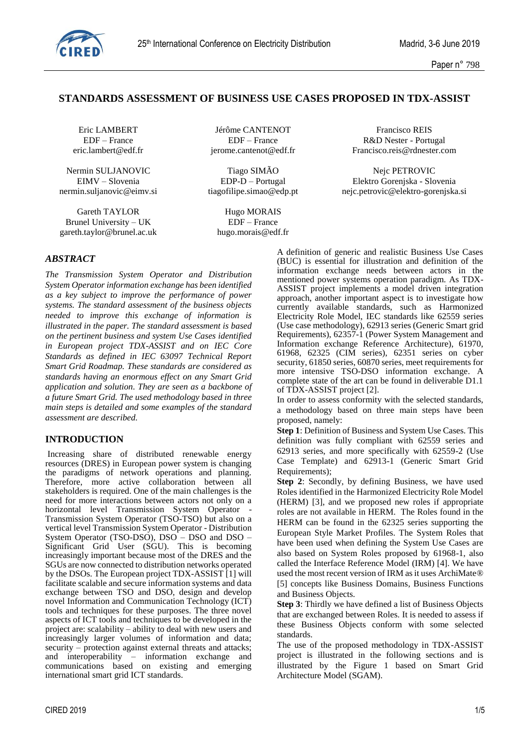

# **STANDARDS ASSESSMENT OF BUSINESS USE CASES PROPOSED IN TDX-ASSIST**

Nermin SULJANOVIC Tiago SIMÃO Nejc PETROVIC

Gareth TAYLOR Hugo MORAIS Brunel University – UK EDF – France gareth.taylor@brunel.ac.uk hugo.morais@edf.fr

Eric LAMBERT Jérôme CANTENOT Francisco REIS EDF – France EDF – France R&D Nester - Portugal

eric.lambert@edf.fr jerome.cantenot@edf.fr Francisco.reis@rdnester.com

EIMV – Slovenia EDP-D – Portugal Elektro Gorenjska - Slovenia nermin.suljanovic@eimv.si tiagofilipe.simao@edp.pt nejc.petrovic@elektro-gorenjska.si

# *ABSTRACT*

*The Transmission System Operator and Distribution System Operator information exchange has been identified as a key subject to improve the performance of power systems. The standard assessment of the business objects needed to improve this exchange of information is illustrated in the paper. The standard assessment is based on the pertinent business and system Use Cases identified in European project TDX-ASSIST and on IEC Core Standards as defined in IEC 63097 Technical Report Smart Grid Roadmap. These standards are considered as standards having an enormous effect on any Smart Grid application and solution. They are seen as a backbone of a future Smart Grid. The used methodology based in three main steps is detailed and some examples of the standard assessment are described.*

### **INTRODUCTION**

Increasing share of distributed renewable energy resources (DRES) in European power system is changing the paradigms of network operations and planning. Therefore, more active collaboration between all stakeholders is required. One of the main challenges is the need for more interactions between actors not only on a horizontal level Transmission System Operator - Transmission System Operator (TSO-TSO) but also on a vertical level Transmission System Operator - Distribution System Operator (TSO-DSO), DSO - DSO and DSO -Significant Grid User (SGU). This is becoming increasingly important because most of the DRES and the SGUs are now connected to distribution networks operated by the DSOs. The European project TDX-ASSIST [1] will facilitate scalable and secure information systems and data exchange between TSO and DSO, design and develop novel Information and Communication Technology (ICT) tools and techniques for these purposes. The three novel aspects of ICT tools and techniques to be developed in the project are: scalability – ability to deal with new users and increasingly larger volumes of information and data; security – protection against external threats and attacks; and interoperability – information exchange and communications based on existing and emerging international smart grid ICT standards.

A definition of generic and realistic Business Use Cases (BUC) is essential for illustration and definition of the information exchange needs between actors in the mentioned power systems operation paradigm. As TDX-ASSIST project implements a model driven integration approach, another important aspect is to investigate how currently available standards, such as Harmonized Electricity Role Model, IEC standards like 62559 series (Use case methodology), 62913 series (Generic Smart grid Requirements), 62357-1 (Power System Management and Information exchange Reference Architecture), 61970, 61968, 62325 (CIM series), 62351 series on cyber security, 61850 series, 60870 series, meet requirements for more intensive TSO-DSO information exchange. A complete state of the art can be found in deliverable D1.1 of TDX-ASSIST project [2].

In order to assess conformity with the selected standards, a methodology based on three main steps have been proposed, namely:

**Step 1**: Definition of Business and System Use Cases. This definition was fully compliant with 62559 series and 62913 series, and more specifically with 62559-2 (Use Case Template) and 62913-1 (Generic Smart Grid Requirements);

**Step 2**: Secondly, by defining Business, we have used Roles identified in the Harmonized Electricity Role Model (HERM) [3], and we proposed new roles if appropriate roles are not available in HERM. The Roles found in the HERM can be found in the 62325 series supporting the European Style Market Profiles. The System Roles that have been used when defining the System Use Cases are also based on System Roles proposed by 61968-1, also called the Interface Reference Model (IRM) [4]. We have used the most recent version of IRM as it uses ArchiMate® [5] concepts like Business Domains, Business Functions and Business Objects.

**Step 3**: Thirdly we have defined a list of Business Objects that are exchanged between Roles. It is needed to assess if these Business Objects conform with some selected standards.

The use of the proposed methodology in TDX-ASSIST project is illustrated in the following sections and is illustrated by the Figure 1 based on Smart Grid Architecture Model (SGAM).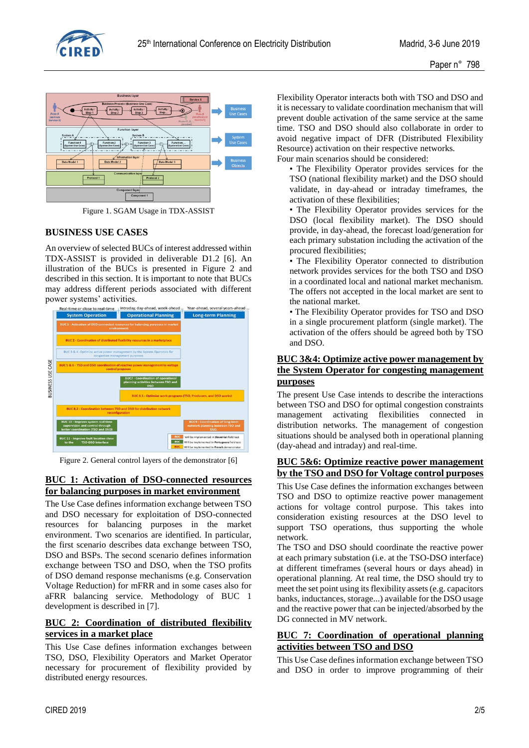



Figure 1. SGAM Usage in TDX-ASSIST

### **BUSINESS USE CASES**

An overview of selected BUCs of interest addressed within TDX-ASSIST is provided in deliverable D1.2 [6]. An illustration of the BUCs is presented in Figure 2 and described in this section. It is important to note that BUCs may address different periods associated with different power systems' activities.



Figure 2. General control layers of the demonstrator [6]

### **BUC 1: Activation of DSO-connected resources for balancing purposes in market environment**

The Use Case defines information exchange between TSO and DSO necessary for exploitation of DSO-connected resources for balancing purposes in the market environment. Two scenarios are identified. In particular, the first scenario describes data exchange between TSO, DSO and BSPs. The second scenario defines information exchange between TSO and DSO, when the TSO profits of DSO demand response mechanisms (e.g. Conservation Voltage Reduction) for mFRR and in some cases also for aFRR balancing service. Methodology of BUC 1 development is described in [7].

# **BUC 2: Coordination of distributed flexibility services in a market place**

This Use Case defines information exchanges between TSO, DSO, Flexibility Operators and Market Operator necessary for procurement of flexibility provided by distributed energy resources.

Flexibility Operator interacts both with TSO and DSO and it is necessary to validate coordination mechanism that will prevent double activation of the same service at the same time. TSO and DSO should also collaborate in order to avoid negative impact of DFR (Distributed Flexibility Resource) activation on their respective networks. Four main scenarios should be considered:

• The Flexibility Operator provides services for the TSO (national flexibility market) and the DSO should validate, in day-ahead or intraday timeframes, the activation of these flexibilities;

• The Flexibility Operator provides services for the DSO (local flexibility market). The DSO should provide, in day-ahead, the forecast load/generation for each primary substation including the activation of the procured flexibilities;

• The Flexibility Operator connected to distribution network provides services for the both TSO and DSO in a coordinated local and national market mechanism. The offers not accepted in the local market are sent to the national market.

• The Flexibility Operator provides for TSO and DSO in a single procurement platform (single market). The activation of the offers should be agreed both by TSO and DSO.

## **BUC 3&4: Optimize active power management by the System Operator for congesting management purposes**

The present Use Case intends to describe the interactions between TSO and DSO for optimal congestion constraints management activating flexibilities connected in distribution networks. The management of congestion situations should be analysed both in operational planning (day-ahead and intraday) and real-time.

### **BUC 5&6: Optimize reactive power management by the TSO and DSO for Voltage control purposes**

This Use Case defines the information exchanges between TSO and DSO to optimize reactive power management actions for voltage control purpose. This takes into consideration existing resources at the DSO level to support TSO operations, thus supporting the whole network.

The TSO and DSO should coordinate the reactive power at each primary substation (i.e. at the TSO-DSO interface) at different timeframes (several hours or days ahead) in operational planning. At real time, the DSO should try to meet the set point using its flexibility assets (e.g. capacitors banks, inductances, storage...) available for the DSO usage and the reactive power that can be injected/absorbed by the DG connected in MV network.

## **BUC 7: Coordination of operational planning activities between TSO and DSO**

This Use Case defines information exchange between TSO and DSO in order to improve programming of their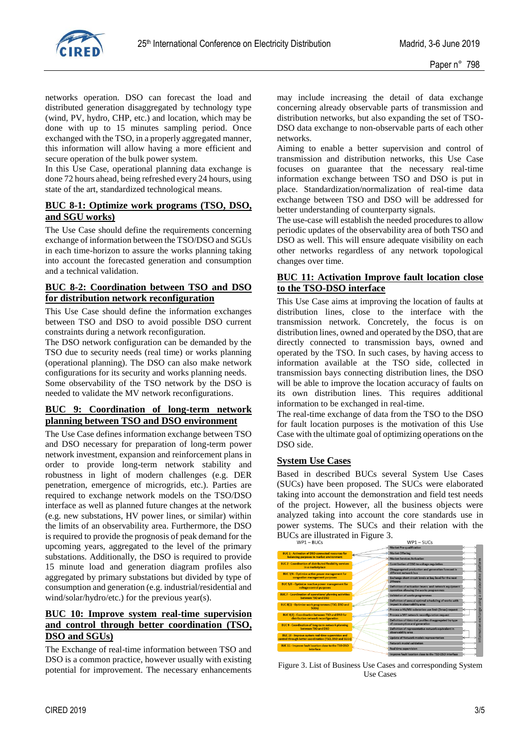

networks operation. DSO can forecast the load and distributed generation disaggregated by technology type (wind, PV, hydro, CHP, etc.) and location, which may be done with up to 15 minutes sampling period. Once exchanged with the TSO, in a properly aggregated manner, this information will allow having a more efficient and secure operation of the bulk power system.

In this Use Case, operational planning data exchange is done 72 hours ahead, being refreshed every 24 hours, using state of the art, standardized technological means.

#### **BUC 8-1: Optimize work programs (TSO, DSO, and SGU works)**

The Use Case should define the requirements concerning exchange of information between the TSO/DSO and SGUs in each time-horizon to assure the works planning taking into account the forecasted generation and consumption and a technical validation.

#### **BUC 8-2: Coordination between TSO and DSO for distribution network reconfiguration**

This Use Case should define the information exchanges between TSO and DSO to avoid possible DSO current constraints during a network reconfiguration.

The DSO network configuration can be demanded by the TSO due to security needs (real time) or works planning (operational planning). The DSO can also make network configurations for its security and works planning needs. Some observability of the TSO network by the DSO is needed to validate the MV network reconfigurations.

## **BUC 9: Coordination of long-term network planning between TSO and DSO environment**

The Use Case defines information exchange between TSO and DSO necessary for preparation of long-term power network investment, expansion and reinforcement plans in order to provide long-term network stability and robustness in light of modern challenges (e.g. DER penetration, emergence of microgrids, etc.). Parties are required to exchange network models on the TSO/DSO interface as well as planned future changes at the network (e.g. new substations, HV power lines, or similar) within the limits of an observability area. Furthermore, the DSO is required to provide the prognosis of peak demand for the upcoming years, aggregated to the level of the primary substations. Additionally, the DSO is required to provide 15 minute load and generation diagram profiles also aggregated by primary substations but divided by type of consumption and generation (e.g. industrial/residential and wind/solar/hydro/etc.) for the previous year(s).

# **BUC 10: Improve system real-time supervision and control through better coordination (TSO, DSO and SGUs)**

The Exchange of real-time information between TSO and DSO is a common practice, however usually with existing potential for improvement. The necessary enhancements

may include increasing the detail of data exchange concerning already observable parts of transmission and distribution networks, but also expanding the set of TSO-DSO data exchange to non-observable parts of each other networks.

Aiming to enable a better supervision and control of transmission and distribution networks, this Use Case focuses on guarantee that the necessary real-time information exchange between TSO and DSO is put in place. Standardization/normalization of real-time data exchange between TSO and DSO will be addressed for better understanding of counterparty signals.

The use-case will establish the needed procedures to allow periodic updates of the observability area of both TSO and DSO as well. This will ensure adequate visibility on each other networks regardless of any network topological changes over time.

## **BUC 11: Activation Improve fault location close to the TSO-DSO interface**

This Use Case aims at improving the location of faults at distribution lines, close to the interface with the transmission network. Concretely, the focus is on distribution lines, owned and operated by the DSO, that are directly connected to transmission bays, owned and operated by the TSO. In such cases, by having access to information available at the TSO side, collected in transmission bays connecting distribution lines, the DSO will be able to improve the location accuracy of faults on its own distribution lines. This requires additional information to be exchanged in real-time.

The real-time exchange of data from the TSO to the DSO for fault location purposes is the motivation of this Use Case with the ultimate goal of optimizing operations on the DSO side.

### **System Use Cases**

Based in described BUCs several System Use Cases (SUCs) have been proposed. The SUCs were elaborated taking into account the demonstration and field test needs of the project. However, all the business objects were analyzed taking into account the core standards use in power systems. The SUCs and their relation with the BUCs are illustrated in Figure 3.



Figure 3. List of Business Use Cases and corresponding System Use Cases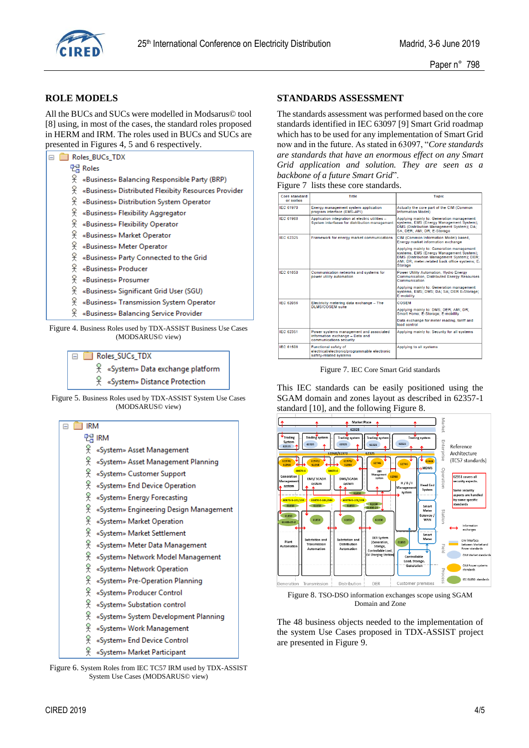

## **ROLE MODELS**

All the BUCs and SUCs were modelled in Modsarus© tool [8] using, in most of the cases, the standard roles proposed in HERM and IRM. The roles used in BUCs and SUCs are presented in Figures 4, 5 and 6 respectively.

| Roles BUCs TDX |                                                     |  |  |  |
|----------------|-----------------------------------------------------|--|--|--|
|                | 먼님 Roles                                            |  |  |  |
| ¥              | «Business» Balancing Responsible Party (BRP)        |  |  |  |
| 웆              | «Business» Distributed Flexibity Resources Provider |  |  |  |
| ¥              | «Business» Distribution System Operator             |  |  |  |
| ¥              | «Business» Flexibility Aggregator                   |  |  |  |
| ¥              | «Business» Flexibility Operator                     |  |  |  |
| 옷              | «Business» Market Operator                          |  |  |  |
| 옷              | «Business» Meter Operator                           |  |  |  |
| ¥              | «Business» Party Connected to the Grid              |  |  |  |
| ¥              | «Business» Producer                                 |  |  |  |
| ¥              | «Business» Prosumer                                 |  |  |  |
| 옷              | «Business» Significant Grid User (SGU)              |  |  |  |
| 옷              | «Business» Transmission System Operator             |  |  |  |
| ¥.             | «Business» Balancing Service Provider               |  |  |  |
|                |                                                     |  |  |  |

Figure 4. Business Roles used by TDX-ASSIST Business Use Cases (MODSARUS© view)



Figure 5. Business Roles used by TDX-ASSIST System Use Cases (MODSARUS© view)

| IRM                                         |  |  |  |  |  |
|---------------------------------------------|--|--|--|--|--|
| 맨 IRM                                       |  |  |  |  |  |
| ¥<br>«System» Asset Management              |  |  |  |  |  |
| 웆<br>«System» Asset Management Planning     |  |  |  |  |  |
| 웆<br>«System» Customer Support              |  |  |  |  |  |
| 웆<br>«System» End Device Operation          |  |  |  |  |  |
| 옷<br>«System» Energy Forecasting            |  |  |  |  |  |
| 웆<br>«System» Engineering Design Management |  |  |  |  |  |
| 웆<br>«System» Market Operation              |  |  |  |  |  |
| 웆<br>«System» Market Settlement             |  |  |  |  |  |
| 옷<br>«System» Meter Data Management         |  |  |  |  |  |
| 웆<br>«System» Network Model Management      |  |  |  |  |  |
| 웆<br>«System» Network Operation             |  |  |  |  |  |
| 웆<br>«System» Pre-Operation Planning        |  |  |  |  |  |
| 웆<br>«System» Producer Control              |  |  |  |  |  |
| 웆<br>«System» Substation control            |  |  |  |  |  |
| 웆<br>«System» System Development Planning   |  |  |  |  |  |
| 옷<br>«System» Work Management               |  |  |  |  |  |
| 옷<br>«System» End Device Control            |  |  |  |  |  |
| 옷<br>«System» Market Participant            |  |  |  |  |  |

Figure 6. System Roles from IEC TC57 IRM used by TDX-ASSIST System Use Cases (MODSARUS© view)

# **STANDARDS ASSESSMENT**

The standards assessment was performed based on the core standards identified in IEC 63097 [9] Smart Grid roadmap which has to be used for any implementation of Smart Grid now and in the future. As stated in 63097, "*Core standards are standards that have an enormous effect on any Smart Grid application and solution. They are seen as a backbone of a future Smart Grid*".

|  |  | Figure 7 lists these core standards. |
|--|--|--------------------------------------|
|--|--|--------------------------------------|

| <b>Core standard</b><br>or series | <b>Title</b>                                                                                          | <b>Topic</b>                                                                                                                                                                                     |
|-----------------------------------|-------------------------------------------------------------------------------------------------------|--------------------------------------------------------------------------------------------------------------------------------------------------------------------------------------------------|
| <b>IEC 61970</b>                  | Energy management system application<br>program interface (EMS-API)                                   | Actually the core part of the CIM (Common<br><b>Information Model)</b>                                                                                                                           |
| <b>IEC 61968</b>                  | Application integration at electric utilities -<br>System interfaces for distribution management      | Applying mainly to: Generation management<br>systems, EMS (Energy Management System);<br>DMS (Distribution Management System): DA:<br>SA: DER: AMI: DR: E-Storage                                |
| IFC 62325                         | Framework for energy market communications                                                            | CIM (Common Information Model) based.<br>Energy market information exchange                                                                                                                      |
|                                   |                                                                                                       | Applying mainly to: Generation management<br>systems, EMS (Energy Management System);<br>DMS (Distribution Management System); DER;<br>AMI: DR: meter-related back office systems: E-<br>Storage |
| <b>IFC 61850</b>                  | Communication networks and systems for<br>power utility automation                                    | Power Utility Automation, Hydro Energy<br><b>Communication, Distributed Energy Resources</b><br>Communication                                                                                    |
|                                   |                                                                                                       | Applying mainly to: Generation management<br>systems, EMS; DMS; DA; SA; DER E-Storage;<br>E-mobility                                                                                             |
| IEC 62056                         | Electricity metering data exchange - The<br>DI MS/COSEM suite                                         | COSEM                                                                                                                                                                                            |
|                                   |                                                                                                       | Applying mainly to: DMS; DER; AMI; DR;<br>Smart Home: E-Storage: E-mobility                                                                                                                      |
|                                   |                                                                                                       | Data exchange for meter reading, tariff and<br>load control                                                                                                                                      |
| IEC 62351                         | Power systems management and associated<br>information exchange - Data and<br>communications security | Applying mainly to: Security for all systems                                                                                                                                                     |
| <b>IFC 61508</b>                  | Functional safety of<br>electrical/electronic/programmable electronic<br>safety-related systems       | Applying to all systems                                                                                                                                                                          |

Figure 7. IEC Core Smart Grid standards

This IEC standards can be easily positioned using the SGAM domain and zones layout as described in 62357-1 standard [10], and the following Figure 8.



Figure 8. TSO-DSO information exchanges scope using SGAM Domain and Zone

The 48 business objects needed to the implementation of the system Use Cases proposed in TDX-ASSIST project are presented in Figure 9.